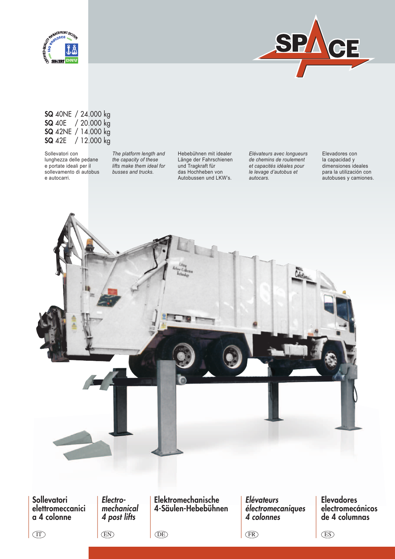



### SQ 40NE / 24.000 kg SQ 40E / 20.000 kg SQ 42NE / 14.000 kg SQ 42E / 12.000 kg

Sollevatori con lunghezza delle pedane e portate ideali per il sollevamento di autobus e autocarri.

*The platform length and the capacity of these lifts make them ideal for busses and trucks.*

Hebebühnen mit idealer Länge der Fahrschienen und Tragkraft für das Hochheben von Autobussen und LKW's.

*Elévateurs avec longueurs de chemins de roulement et capacités idéales pour le levage d'autobus et autocars.*

Elevadores con la capacidad y dimensiones ideales para la utilización con autobuses y camiones.



**Sollevatori** elettromeccanici a 4 colonne

*Electromechanical 4 post lifts*

EN

Elektromechanische 4-Säulen-Hebebühnen

DE

*Elévateurs électromecaniques 4 colonnes*

 $\binom{FR}{ }$  (ES)

Elevadores electromecánicos de 4 columnas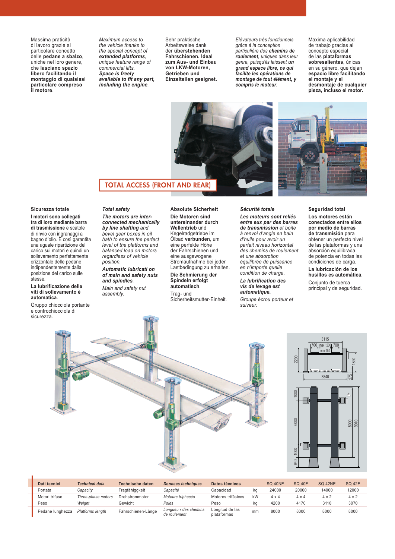Massima praticità di lavoro grazie al particolare concetto delle **pedane a sbalzo**, uniche nel loro genere, che **lasciano spazio libero facilitando il montaggio di qualsiasi particolare compreso il motore**.

*Maximum access to the vehicle thanks to the special concept of extended platforms, unique feature range of commercial lifts. Space is freely available to fit any part, including the engine.*

Sehr praktische Arbeitsweise dank der **überstehenden Fahrschienen. Ideal zum Aus- und Einbau von LKW-Motoren, Getrieben und Einzelteilen geeignet.** *Elévateurs très fonctionnels grâce à la conception particulière des chemins de roulement, uniques dans leur genre, puisqu'ils laissent un grand espace libre, ce qui facilite les opérations de montage de tout élément, y compris le moteur.*





### TOTAL ACCESS (FRONT AND REAR)

### **Sicurezza totale**

**I motori sono collegati tra di loro mediante barra di trasmissione** e scatole di rinvio con ingranaggi a bagno d'olio. È così garantita una uguale ripartizione del carico sui motori e quindi un sollevamento perfettamente orizzontale delle pedane indipendentemente dalla posizione del carico sulle stesse.

#### **La lubrificazione delle viti di sollevamento è automatica**.

Gruppo chiocciola portante e controchiocciola di sicurezza.

### *Total safety*

*The motors are interconnected mechanically by line shafting and bevel gear boxes in oil bath to ensure the perfect level of the platforms and balanced load on motors regardless of vehicle position.*

*Automatic lubricati on of main and safety nuts and spindles.*

*Main and safety nut assembly.*

#### **Absolute Sicherheit Die Motoren sind untereinander durch Wellentrieb** und Kegelradgetriebe im Ölbad **verbunden**, um eine perfekte Höhe der Fahrschienen und eine ausgewogene Stromaufnahme bei jeder Lastbedingung zu erhalten.

**Die Schmierung der Spindeln erfolgt automatisch**.

Trag- und Sicherheitsmutter-Einheit.

#### *Sécurité totale*

*Les moteurs sont reliés entre eux par des barres de transmission et boite à renvoi d'angle en bain d'huile pour avoir un parfait niveau horizontal des chemins de roulement et une absorption équilibrée de puissance en n'importe quelle condition de charge.*

#### *La lubrification des vis de levage est automatique.*

*Groupe écrou porteur et suiveur.*

#### **Seguridad total**

**Los motores están conectados entre ellos por medio de barras de transmisión** para obtener un perfecto nivel de las plataformas y una absorción equilibrada de potencia en todas las condiciones de carga. **La lubricación de los** 

**husillos es automática**. Conjunto de tuerca principal y de seguridad.





 $3115$ 

| Dati tecnici     | <b>Technical data</b>   | <b>Technische daten</b> | <b>Donnees techniques</b>             | Datos técnicos                 |    | <b>SO 40NE</b> | <b>SQ 40E</b> | <b>SQ 42NE</b> | <b>SQ 42E</b> |  |
|------------------|-------------------------|-------------------------|---------------------------------------|--------------------------------|----|----------------|---------------|----------------|---------------|--|
| Portata          | Capacitv                | Tragfähiggkeit          | Capacité                              | Capacidad                      | ka | 24000          | 20000         | 14000          | 12000         |  |
| Motori trifase   | Three-phase motors      | Drehstrommotor          | Moteurs triphasés                     | Motores trifásicos             | kW | $4 \times 4$   | $4 \times 4$  | $4 \times 2$   | $4 \times 2$  |  |
| Peso             | Weiaht                  | Gewicht                 | Poids                                 | Peso                           | ka | 4200           | 4170          | 3110           | 3070          |  |
| Pedane lunghezza | <b>Platforms length</b> | Fahrschienen-Länge      | Longueu r des chemins<br>de roulement | Longitud de las<br>plataformas | mm | 8000           | 8000          | 8000           | 8000          |  |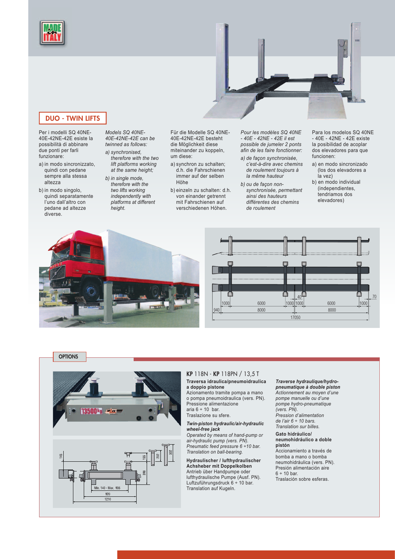



## DUO - TWIN LIFTS

Per i modelli SQ 40NE-40E-42NE-42E esiste la possibilità di abbinare due ponti per farli funzionare:

- a) in modo sincronizzato, quindi con pedane sempre alla stessa altezza
- b) in modo singolo, quindi separatamente l'uno dall'altro con pedane ad altezze diverse.

*Models SQ 40NE-40E-42NE-42E can be twinned as follows: a) synchronised,* 

- *therefore with the two lift platforms working at the same height; b) in single mode,*
- *therefore with the two lifts working independently with platforms at different height.*

Für die Modelle SQ 40NE-40E-42NE-42E besteht die Möglichkeit diese miteinander zu koppeln, um diese:

- a) synchron zu schalten; d.h. die Fahrschienen immer auf der selben Höhe
- b) einzeln zu schalten: d.h. von einander getrennt mit Fahrschienen auf verschiedenen Höhen.

*Pour les modèles SQ 40NE - 40E - 42NE - 42E il est possible de jumeler 2 ponts afin de les faire fonctionner:*

- *a) de façon synchronisée, c'est-à-dire avec chemins de roulement toujours à la même hauteur*
- *b) ou de façon nonsynchronisée, permettant ainsi des hauteurs différentes des chemins de roulement*

Para los modelos SQ 40NE - 40E - 42NE - 42E existe la posibilidad de acoplar dos elevadores para que funcionen:

- a) en modo sincronizado (los dos elevadores a la vez)
- b) en modo individual (independientes, tendriamos dos elevadores)











# KP 118N - KP 118PN / 13,5 T

**Traversa idraulica/pneumoidraulica a doppio pistone** Azionamento tramite pompa a mano

o pompa pneumoidraulica (vers. PN). Pressione alimentazione aria  $6 \div 10$  bar.

Traslazione su sfere.

*Twin-piston hydraulic/air-hydraulic wheel-free jack* 

*Operated by means of hand-pump or air-hydraulic pump (vers. PN). Pneumatic feed pressure 6 ÷10 bar. Translation on ball-bearing.*

**Hydraulischer / lufthydraulischer Achsheber mit Doppelkolben** Antrieb über Handpumpe oder lufthydraulische Pumpe (Ausf. PN). Luftzuführungsdruck 6 ÷ 10 bar. Translation auf Kugeln.

*Traverse hydraulique/hydropneumatique à double piston Actionnement au moyen d'une pompe manuelle ou d'une pompe hydro-pneumatique (vers. PN). Pression d'alimentation de l'air 6 ÷ 10 bars.*

*Translation sur billes.* **Gato hidráulico/**

**neumohidráulico a doble pistón** Accionamiento a través de bomba a mano o bomba

neumohidráulica (vers. PN). Presión alimentación aire  $6 ÷ 10 bar.$ Traslación sobre esferas.